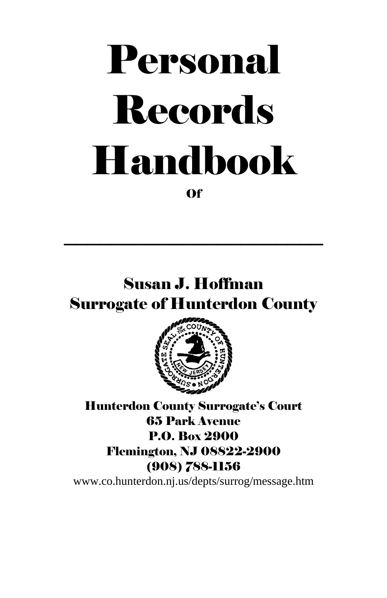# Personal Records Handbook Of

# Susan J. Hoffman Surrogate of Hunterdon County

 $\overline{\phantom{a}}$  , and the set of the set of the set of the set of the set of the set of the set of the set of the set of the set of the set of the set of the set of the set of the set of the set of the set of the set of the s



Hunterdon County Surrogate's Court 65 Park Avenue P.O. Box 2900 Flemington, NJ 08822-2900 (908) 788-1156

www.co.hunterdon.nj.us/depts/surrog/message.htm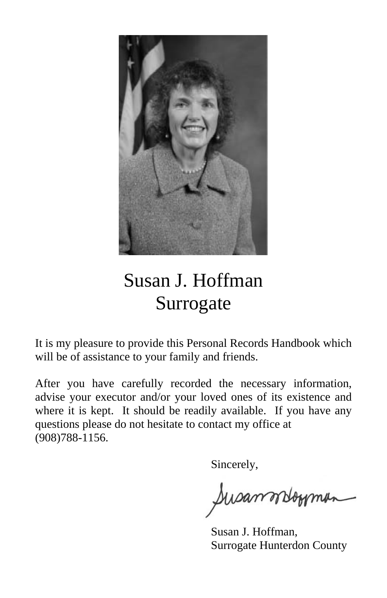

# Susan J. Hoffman Surrogate

It is my pleasure to provide this Personal Records Handbook which will be of assistance to your family and friends.

After you have carefully recorded the necessary information, advise your executor and/or your loved ones of its existence and where it is kept. It should be readily available. If you have any questions please do not hesitate to contact my office at (908)788-1156.

Sincerely,

Susannosomman

 Susan J. Hoffman, Surrogate Hunterdon County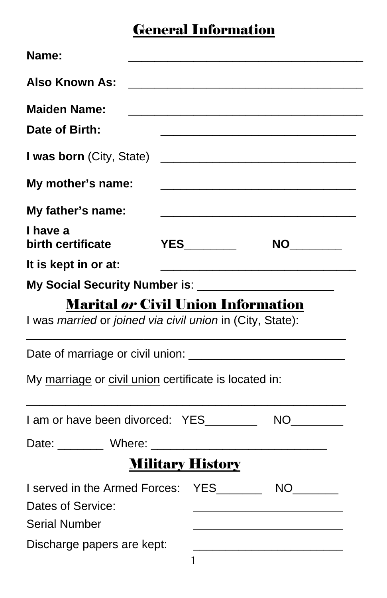### General Information

| <b>Name:</b>                                                                                           |  |  |  |  |  |
|--------------------------------------------------------------------------------------------------------|--|--|--|--|--|
| <b>Also Known As:</b>                                                                                  |  |  |  |  |  |
| <b>Maiden Name:</b>                                                                                    |  |  |  |  |  |
| Date of Birth:                                                                                         |  |  |  |  |  |
| <b>I was born</b> (City, State)                                                                        |  |  |  |  |  |
| My mother's name:                                                                                      |  |  |  |  |  |
| My father's name:                                                                                      |  |  |  |  |  |
| I have a<br>birth certificate                                                                          |  |  |  |  |  |
| It is kept in or at:                                                                                   |  |  |  |  |  |
| My Social Security Number is: ________________________                                                 |  |  |  |  |  |
| <b>Marital or Civil Union Information</b><br>I was married or joined via civil union in (City, State): |  |  |  |  |  |
|                                                                                                        |  |  |  |  |  |
| My marriage or civil union certificate is located in:                                                  |  |  |  |  |  |
| I am or have been divorced: YES________                                                                |  |  |  |  |  |
| Date: Where: Where:                                                                                    |  |  |  |  |  |
| <b>Military History</b>                                                                                |  |  |  |  |  |
| I served in the Armed Forces: YES__________ NO_______                                                  |  |  |  |  |  |
| Dates of Service:                                                                                      |  |  |  |  |  |
| <b>Serial Number</b>                                                                                   |  |  |  |  |  |
| Discharge papers are kept:                                                                             |  |  |  |  |  |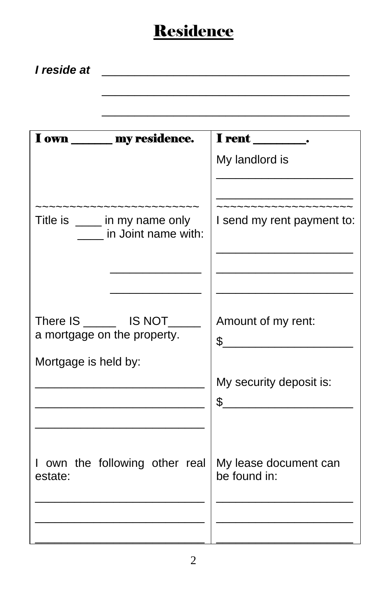## **Residence**

| I reside at                                                                                                      |                                                  |
|------------------------------------------------------------------------------------------------------------------|--------------------------------------------------|
|                                                                                                                  |                                                  |
| I own _______ my residence.                                                                                      | I rent _________.                                |
|                                                                                                                  | My landlord is                                   |
| uwwwwwwwwwwwww.<br>Title is _____ in my name only<br>in Joint name with:                                         | __________________<br>I send my rent payment to: |
|                                                                                                                  |                                                  |
| There IS _______ IS NOT_____<br>a mortgage on the property.                                                      | Amount of my rent:<br>$\sim$ $\sim$              |
| Mortgage is held by:                                                                                             |                                                  |
| the control of the control of the control of the control of<br><u> 1989 - Johann Barbara, martxa alemaniar a</u> | My security deposit is:<br>$\frac{1}{2}$         |
|                                                                                                                  |                                                  |
| I own the following other real<br>estate:                                                                        | My lease document can<br>be found in:            |
|                                                                                                                  |                                                  |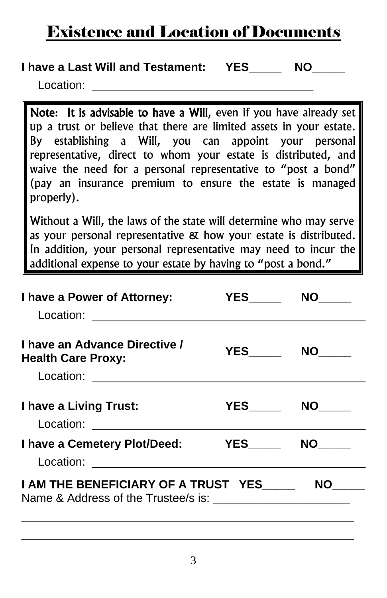### Existence and Location of Documents

### **I have a Last Will and Testament: YES MO**

Location:

Note: It is advisable to have a Will, even if you have already set up a trust or believe that there are limited assets in your estate. By establishing a Will, you can appoint your personal representative, direct to whom your estate is distributed, and waive the need for a personal representative to "post a bond" (pay an insurance premium to ensure the estate is managed properly).

Without a Will, the laws of the state will determine who may serve as your personal representative & how your estate is distributed. In addition, your personal representative may need to incur the additional expense to your estate by having to "post a bond."

| I have a Power of Attorney:                                | <b>YES</b> | NO I             |
|------------------------------------------------------------|------------|------------------|
| I have an Advance Directive /<br><b>Health Care Proxy:</b> |            | YES NO           |
| I have a Living Trust:<br>Location: <u>_______</u> ___     |            |                  |
| I have a Cemetery Plot/Deed: YES                           |            | NO <sub>th</sub> |
| I AM THE BENEFICIARY OF A TRUST YES                        |            | <b>NO</b>        |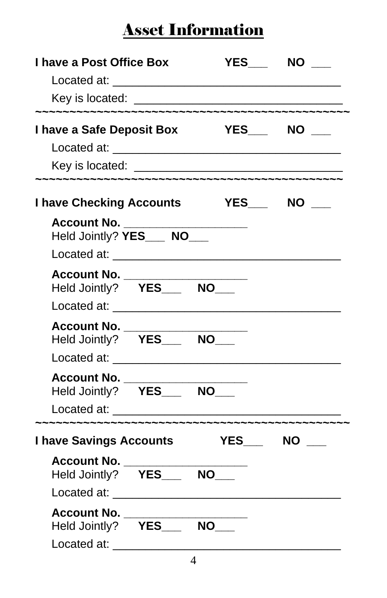| I have a Post Office Box<br>Key is located: <u>example and the set of the set of the set of the set of the set of the set of the set of the set of the set of the set of the set of the set of the set of the set of the set of the set of the set of the se</u> |                 | $YES$ NO $\qquad$ |  |
|------------------------------------------------------------------------------------------------------------------------------------------------------------------------------------------------------------------------------------------------------------------|-----------------|-------------------|--|
| I have a Safe Deposit Box                                                                                                                                                                                                                                        | <b>THES</b> NO  |                   |  |
|                                                                                                                                                                                                                                                                  |                 |                   |  |
|                                                                                                                                                                                                                                                                  |                 |                   |  |
| <b>I have Checking Accounts</b>                                                                                                                                                                                                                                  | YES____ NO ____ |                   |  |
| Account No. __________<br>Held Jointly? YES___ NO___                                                                                                                                                                                                             |                 |                   |  |
| Account No. __<br>Held Jointly? YES___ NO___                                                                                                                                                                                                                     |                 |                   |  |
| Account No. _<br>Held Jointly? YES___ NO___                                                                                                                                                                                                                      |                 |                   |  |
| Account No.<br>Held Jointly? YES_____ NO___                                                                                                                                                                                                                      |                 |                   |  |
| <b>I have Savings Accounts</b>                                                                                                                                                                                                                                   |                 | YES NO            |  |
| Account No. ____<br>Held Jointly? YES___ NO___                                                                                                                                                                                                                   |                 |                   |  |
| Account No. _<br>Held Jointly? YES___ NO___<br>Located at:                                                                                                                                                                                                       |                 |                   |  |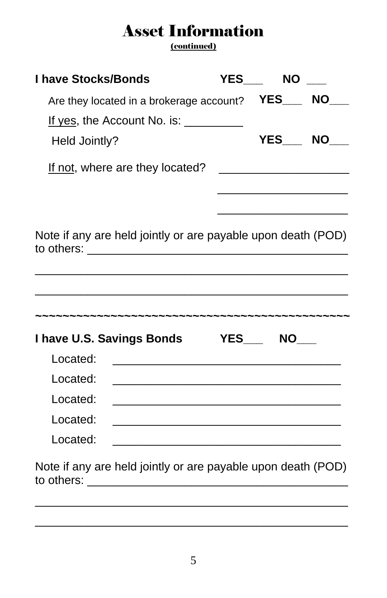(continued)

| <b>I have Stocks/Bonds</b> |                                                                                                                                                                                                                                                                                                               | <b>YES</b> | <b>NO</b> |  |
|----------------------------|---------------------------------------------------------------------------------------------------------------------------------------------------------------------------------------------------------------------------------------------------------------------------------------------------------------|------------|-----------|--|
|                            | Are they located in a brokerage account?                                                                                                                                                                                                                                                                      |            | YES NO    |  |
| Held Jointly?              | If yes, the Account No. is: $\frac{1}{2}$ $\frac{1}{2}$ $\frac{1}{2}$ $\frac{1}{2}$ $\frac{1}{2}$ $\frac{1}{2}$ $\frac{1}{2}$ $\frac{1}{2}$ $\frac{1}{2}$ $\frac{1}{2}$ $\frac{1}{2}$ $\frac{1}{2}$ $\frac{1}{2}$ $\frac{1}{2}$ $\frac{1}{2}$ $\frac{1}{2}$ $\frac{1}{2}$ $\frac{1}{2}$ $\frac{1}{2}$ $\frac$ |            | YES NO    |  |
|                            | If not, where are they located?                                                                                                                                                                                                                                                                               |            |           |  |
|                            |                                                                                                                                                                                                                                                                                                               |            |           |  |
|                            | Note if any are held jointly or are payable upon death (POD)<br>to others: ________________________________                                                                                                                                                                                                   |            |           |  |
|                            | I have U.S. Savings Bonds YES___ NO___                                                                                                                                                                                                                                                                        |            |           |  |
| Located:                   | <u> 1989 - Johann John Stone, mars eta biztanleria (</u>                                                                                                                                                                                                                                                      |            |           |  |
| Located:                   |                                                                                                                                                                                                                                                                                                               |            |           |  |
| Located:                   |                                                                                                                                                                                                                                                                                                               |            |           |  |
| Located:                   | <u> 1989 - Johann Stein, mars an deutscher Stein und der Stein und der Stein und der Stein und der Stein und der</u>                                                                                                                                                                                          |            |           |  |
| Located:                   |                                                                                                                                                                                                                                                                                                               |            |           |  |

Note if any are held jointly or are payable upon death (POD) to others: \_\_\_\_\_\_\_\_\_\_\_\_\_\_\_\_\_\_\_\_\_\_\_\_\_\_\_\_\_\_\_\_\_\_\_\_\_\_\_\_

\_\_\_\_\_\_\_\_\_\_\_\_\_\_\_\_\_\_\_\_\_\_\_\_\_\_\_\_\_\_\_\_\_\_\_\_\_\_\_\_\_\_\_\_\_\_\_\_

\_\_\_\_\_\_\_\_\_\_\_\_\_\_\_\_\_\_\_\_\_\_\_\_\_\_\_\_\_\_\_\_\_\_\_\_\_\_\_\_\_\_\_\_\_\_\_\_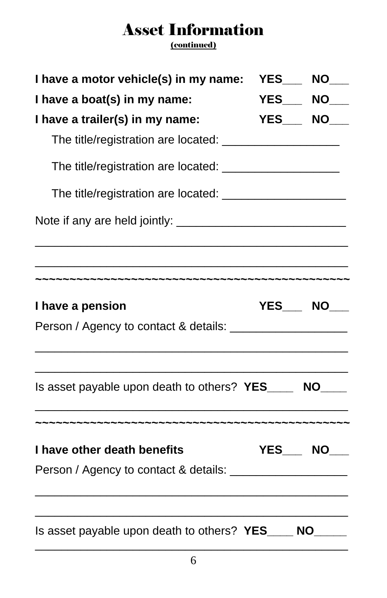(continued)

| I have a motor vehicle(s) in my name:                    | <b>YES____ NO____</b> |
|----------------------------------------------------------|-----------------------|
| I have a boat(s) in my name:                             | <b>YES____ NO____</b> |
| I have a trailer(s) in my name:                          | <b>YES____ NO____</b> |
|                                                          |                       |
|                                                          |                       |
|                                                          |                       |
|                                                          |                       |
|                                                          |                       |
| I have a pension                                         | YES NO                |
|                                                          |                       |
| Is asset payable upon death to others? YES______ NO_____ |                       |
| I have other death benefits                              | YES NO                |
|                                                          |                       |
|                                                          |                       |
| Is asset payable upon death to others? YES____ NO____    |                       |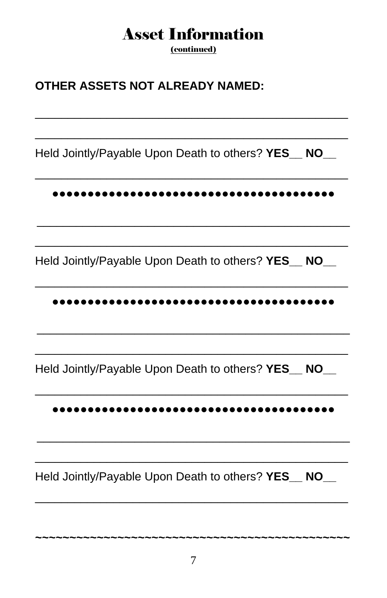(continued)

### **OTHER ASSETS NOT ALREADY NAMED:**

Held Jointly/Payable Upon Death to others? YES NO

#### 

Held Jointly/Payable Upon Death to others? YES\_NO\_

#### 

Held Jointly/Payable Upon Death to others? YES\_NO\_

#### 

Held Jointly/Payable Upon Death to others? YES\_NO\_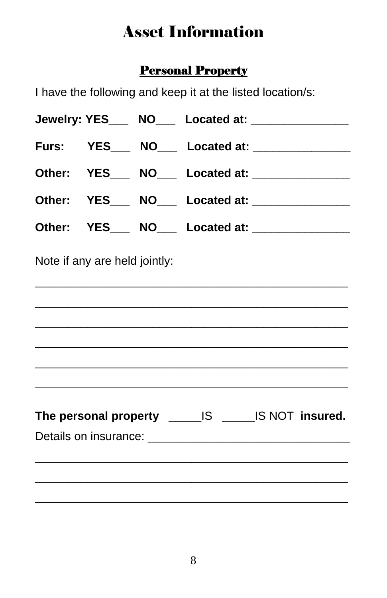### **Personal Property**

I have the following and keep it at the listed location/s:

|                               | Jewelry: YES____ NO___ Located at: ______________     |
|-------------------------------|-------------------------------------------------------|
|                               | Furs: YES___ NO___ Located at: ______________         |
|                               | Other: YES___ NO___ Located at: _____________         |
|                               | Other: YES___ NO___ Located at: _____________         |
|                               | Other: YES___ NO___ Located at: _____________         |
| Note if any are held jointly: |                                                       |
|                               |                                                       |
|                               |                                                       |
|                               |                                                       |
|                               |                                                       |
|                               | The personal property _______IS ______IS NOT insured. |
|                               |                                                       |
|                               |                                                       |
|                               |                                                       |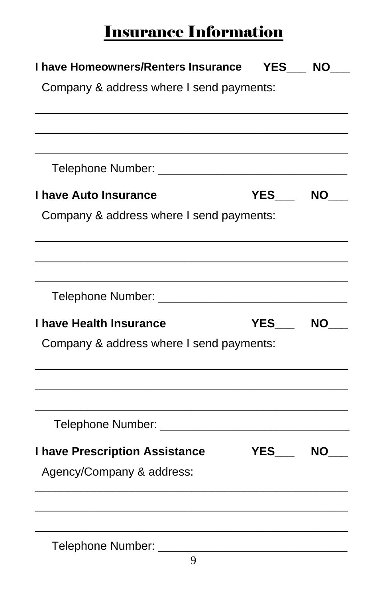# Insurance Information

| I have Homeowners/Renters Insurance YES NO    |        |           |
|-----------------------------------------------|--------|-----------|
| Company & address where I send payments:      |        |           |
|                                               |        |           |
|                                               |        |           |
| I have Auto Insurance                         | YES    | <b>NO</b> |
| Company & address where I send payments:      |        |           |
|                                               |        |           |
|                                               |        |           |
| I have Health Insurance                       | YES NO |           |
| Company & address where I send payments:      |        |           |
|                                               |        |           |
| Telephone Number: ___________________________ |        |           |
| <b>I have Prescription Assistance</b>         | YES NO |           |
| Agency/Company & address:                     |        |           |
|                                               |        |           |
| Telephone Number: __________________________  |        |           |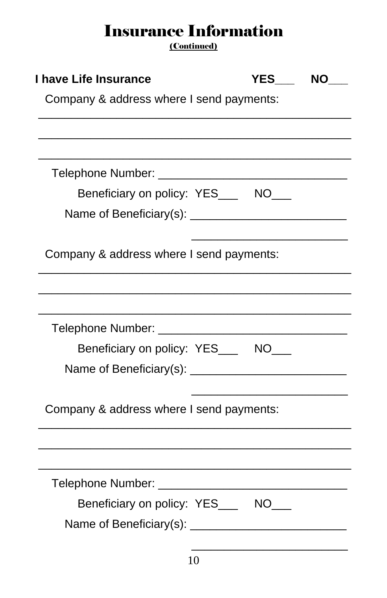# Insurance Information

(Continued)

| I have Life Insurance                    | YES NO |  |
|------------------------------------------|--------|--|
| Company & address where I send payments: |        |  |
|                                          |        |  |
|                                          |        |  |
|                                          |        |  |
| Beneficiary on policy: YES____ NO___     |        |  |
|                                          |        |  |
|                                          |        |  |
| Company & address where I send payments: |        |  |
|                                          |        |  |
|                                          |        |  |
|                                          |        |  |
| Beneficiary on policy: YES____ NO___     |        |  |
|                                          |        |  |
|                                          |        |  |
| Company & address where I send payments: |        |  |
|                                          |        |  |
|                                          |        |  |
|                                          |        |  |
| Telephone Number: ________________       |        |  |
| Beneficiary on policy: YES____ NO___     |        |  |
|                                          |        |  |
|                                          |        |  |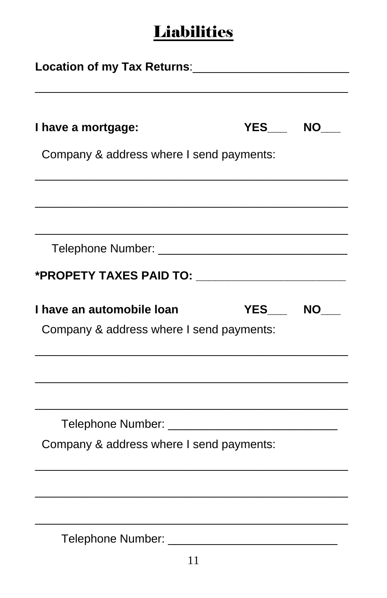# **Liabilities**

| Company & address where I send payments: |             |
|------------------------------------------|-------------|
|                                          |             |
|                                          |             |
|                                          |             |
|                                          | YES NO      |
| Company & address where I send payments: |             |
|                                          |             |
|                                          |             |
| Company & address where I send payments: |             |
|                                          |             |
|                                          |             |
|                                          | YES___ NO__ |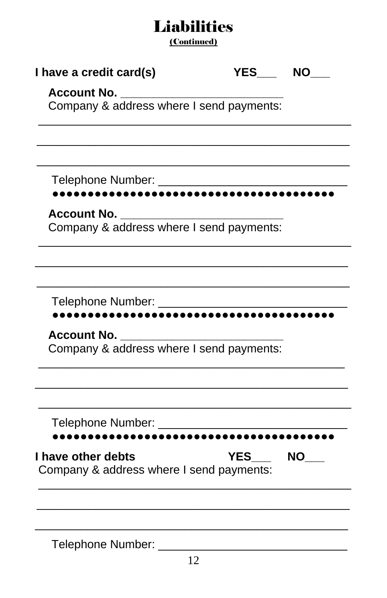### **Liabilities**

(Continued)

| I have a credit card(s)                                        | YES NO     |    |
|----------------------------------------------------------------|------------|----|
| <b>Account No.</b><br>Company & address where I send payments: |            |    |
|                                                                |            |    |
|                                                                |            |    |
|                                                                |            |    |
| <b>Account No.</b><br>Company & address where I send payments: |            |    |
|                                                                |            |    |
|                                                                |            |    |
| <b>Account No.</b>                                             |            |    |
| Company & address where I send payments:                       |            |    |
| Telephone Number: ___________________________                  |            |    |
|                                                                |            |    |
| I have other debts<br>Company & address where I send payments: | <b>YES</b> | NO |
|                                                                |            |    |
| Telephone Number:                                              |            |    |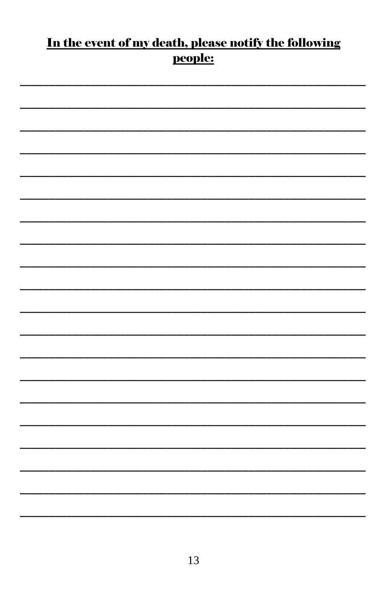### In the event of my death, please notify the following people: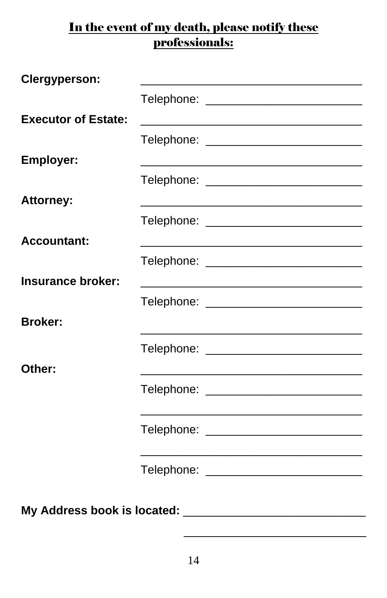### In the event of my death, please notify these professionals:

| Clergyperson:               |                                            |  |  |  |
|-----------------------------|--------------------------------------------|--|--|--|
|                             | Telephone: ____________________________    |  |  |  |
| <b>Executor of Estate:</b>  |                                            |  |  |  |
|                             | Telephone: _______________________________ |  |  |  |
| <b>Employer:</b>            |                                            |  |  |  |
|                             | Telephone: _______________________________ |  |  |  |
| <b>Attorney:</b>            |                                            |  |  |  |
|                             |                                            |  |  |  |
| <b>Accountant:</b>          |                                            |  |  |  |
|                             | Telephone: ____________________________    |  |  |  |
| Insurance broker:           |                                            |  |  |  |
|                             | Telephone: _______________________________ |  |  |  |
| <b>Broker:</b>              |                                            |  |  |  |
|                             | Telephone: ___________________________     |  |  |  |
| Other:                      |                                            |  |  |  |
|                             | Telephone: ___________________________     |  |  |  |
|                             |                                            |  |  |  |
|                             | Telephone: _______________________________ |  |  |  |
|                             |                                            |  |  |  |
|                             | Telephone: ____________________________    |  |  |  |
|                             |                                            |  |  |  |
| My Address book is located: |                                            |  |  |  |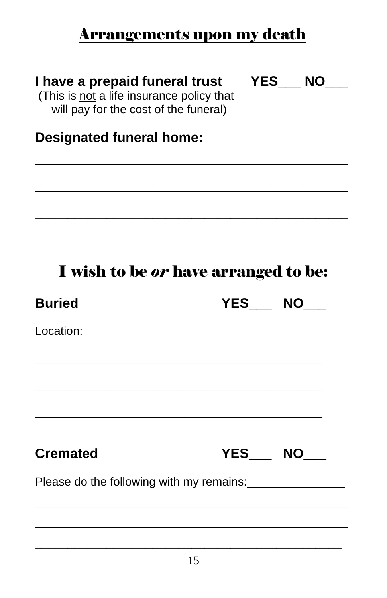### Arrangements upon my death

### **I have a prepaid funeral trust**

**YES\_\_\_ NO\_\_\_**

 (This is not a life insurance policy that will pay for the cost of the funeral)

### **Designated funeral home:**

# I wish to be *or* have arranged to be:

\_\_\_\_\_\_\_\_\_\_\_\_\_\_\_\_\_\_\_\_\_\_\_\_\_\_\_\_\_\_\_\_\_\_\_\_\_\_\_\_\_\_\_\_\_\_\_\_

\_\_\_\_\_\_\_\_\_\_\_\_\_\_\_\_\_\_\_\_\_\_\_\_\_\_\_\_\_\_\_\_\_\_\_\_\_\_\_\_\_\_\_\_\_\_\_\_

\_\_\_\_\_\_\_\_\_\_\_\_\_\_\_\_\_\_\_\_\_\_\_\_\_\_\_\_\_\_\_\_\_\_\_\_\_\_\_\_\_\_\_\_\_\_\_\_

| <b>Buried</b>                            | YES NO       |  |  |  |  |
|------------------------------------------|--------------|--|--|--|--|
| Location:                                |              |  |  |  |  |
|                                          |              |  |  |  |  |
|                                          |              |  |  |  |  |
|                                          |              |  |  |  |  |
| <b>Cremated</b>                          | YES___ NO___ |  |  |  |  |
| Please do the following with my remains: |              |  |  |  |  |
|                                          |              |  |  |  |  |
|                                          |              |  |  |  |  |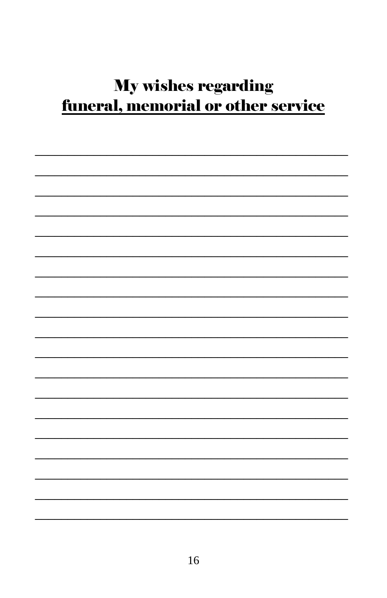# **My wishes regarding** <u>funeral, memorial or other service</u>